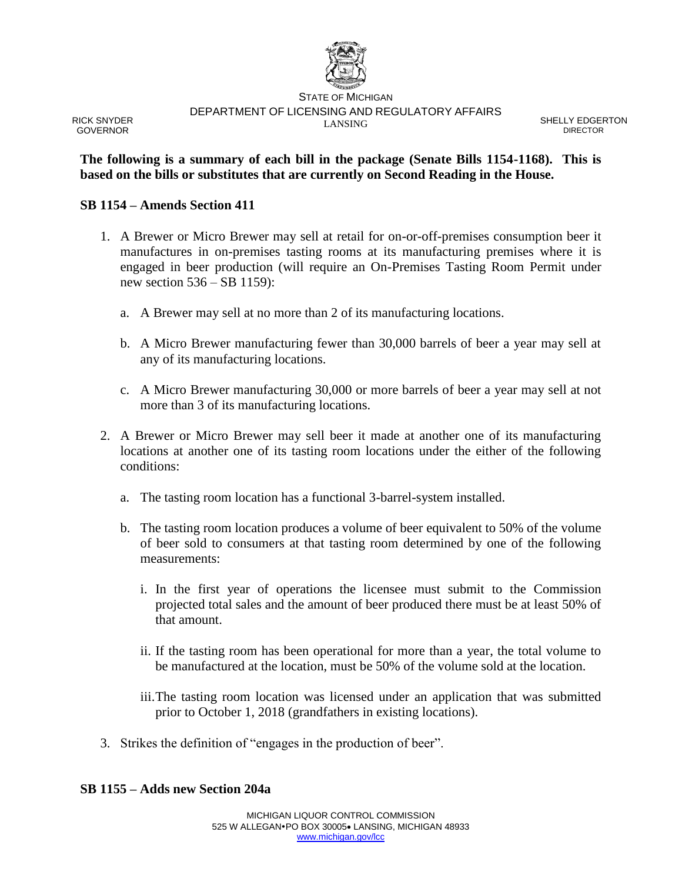

RICK SNYDER GOVERNOR

STATE OF MICHIGAN DEPARTMENT OF LICENSING AND REGULATORY AFFAIRS LANSING COMMUNICATION SHELLY EDGERTON

DIRECTOR

### **The following is a summary of each bill in the package (Senate Bills 1154-1168). This is based on the bills or substitutes that are currently on Second Reading in the House.**

### **SB 1154 – Amends Section 411**

- 1. A Brewer or Micro Brewer may sell at retail for on-or-off-premises consumption beer it manufactures in on-premises tasting rooms at its manufacturing premises where it is engaged in beer production (will require an On-Premises Tasting Room Permit under new section 536 – SB 1159):
	- a. A Brewer may sell at no more than 2 of its manufacturing locations.
	- b. A Micro Brewer manufacturing fewer than 30,000 barrels of beer a year may sell at any of its manufacturing locations.
	- c. A Micro Brewer manufacturing 30,000 or more barrels of beer a year may sell at not more than 3 of its manufacturing locations.
- 2. A Brewer or Micro Brewer may sell beer it made at another one of its manufacturing locations at another one of its tasting room locations under the either of the following conditions:
	- a. The tasting room location has a functional 3-barrel-system installed.
	- b. The tasting room location produces a volume of beer equivalent to 50% of the volume of beer sold to consumers at that tasting room determined by one of the following measurements:
		- i. In the first year of operations the licensee must submit to the Commission projected total sales and the amount of beer produced there must be at least 50% of that amount.
		- ii. If the tasting room has been operational for more than a year, the total volume to be manufactured at the location, must be 50% of the volume sold at the location.
		- iii.The tasting room location was licensed under an application that was submitted prior to October 1, 2018 (grandfathers in existing locations).
- 3. Strikes the definition of "engages in the production of beer".

### **SB 1155 – Adds new Section 204a**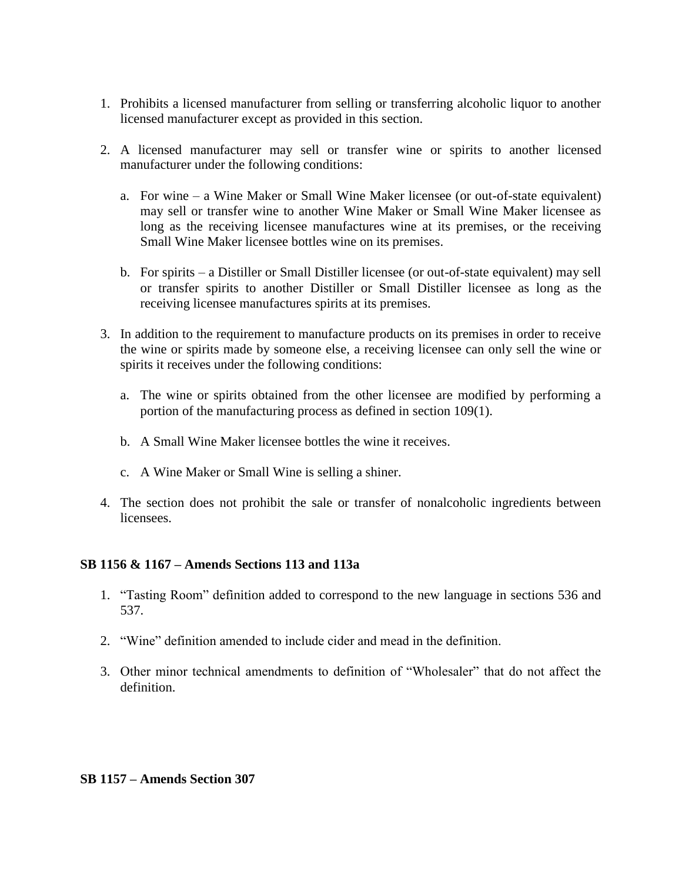- 1. Prohibits a licensed manufacturer from selling or transferring alcoholic liquor to another licensed manufacturer except as provided in this section.
- 2. A licensed manufacturer may sell or transfer wine or spirits to another licensed manufacturer under the following conditions:
	- a. For wine a Wine Maker or Small Wine Maker licensee (or out-of-state equivalent) may sell or transfer wine to another Wine Maker or Small Wine Maker licensee as long as the receiving licensee manufactures wine at its premises, or the receiving Small Wine Maker licensee bottles wine on its premises.
	- b. For spirits a Distiller or Small Distiller licensee (or out-of-state equivalent) may sell or transfer spirits to another Distiller or Small Distiller licensee as long as the receiving licensee manufactures spirits at its premises.
- 3. In addition to the requirement to manufacture products on its premises in order to receive the wine or spirits made by someone else, a receiving licensee can only sell the wine or spirits it receives under the following conditions:
	- a. The wine or spirits obtained from the other licensee are modified by performing a portion of the manufacturing process as defined in section 109(1).
	- b. A Small Wine Maker licensee bottles the wine it receives.
	- c. A Wine Maker or Small Wine is selling a shiner.
- 4. The section does not prohibit the sale or transfer of nonalcoholic ingredients between licensees.

### **SB 1156 & 1167 – Amends Sections 113 and 113a**

- 1. "Tasting Room" definition added to correspond to the new language in sections 536 and 537.
- 2. "Wine" definition amended to include cider and mead in the definition.
- 3. Other minor technical amendments to definition of "Wholesaler" that do not affect the definition.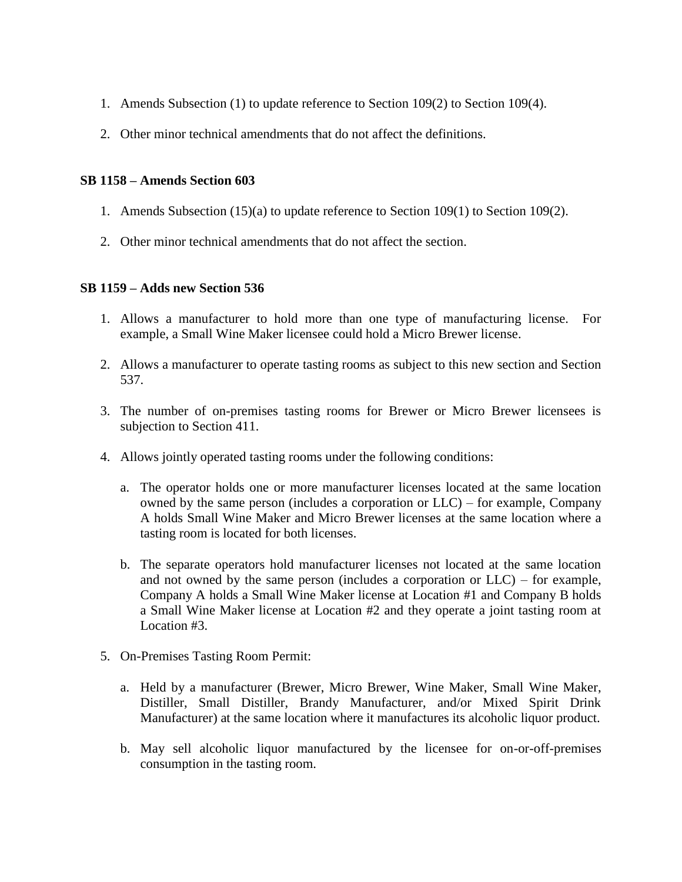- 1. Amends Subsection (1) to update reference to Section 109(2) to Section 109(4).
- 2. Other minor technical amendments that do not affect the definitions.

# **SB 1158 – Amends Section 603**

- 1. Amends Subsection (15)(a) to update reference to Section 109(1) to Section 109(2).
- 2. Other minor technical amendments that do not affect the section.

# **SB 1159 – Adds new Section 536**

- 1. Allows a manufacturer to hold more than one type of manufacturing license. For example, a Small Wine Maker licensee could hold a Micro Brewer license.
- 2. Allows a manufacturer to operate tasting rooms as subject to this new section and Section 537.
- 3. The number of on-premises tasting rooms for Brewer or Micro Brewer licensees is subjection to Section 411.
- 4. Allows jointly operated tasting rooms under the following conditions:
	- a. The operator holds one or more manufacturer licenses located at the same location owned by the same person (includes a corporation or LLC) – for example, Company A holds Small Wine Maker and Micro Brewer licenses at the same location where a tasting room is located for both licenses.
	- b. The separate operators hold manufacturer licenses not located at the same location and not owned by the same person (includes a corporation or LLC) – for example, Company A holds a Small Wine Maker license at Location #1 and Company B holds a Small Wine Maker license at Location #2 and they operate a joint tasting room at Location #3.
- 5. On-Premises Tasting Room Permit:
	- a. Held by a manufacturer (Brewer, Micro Brewer, Wine Maker, Small Wine Maker, Distiller, Small Distiller, Brandy Manufacturer, and/or Mixed Spirit Drink Manufacturer) at the same location where it manufactures its alcoholic liquor product.
	- b. May sell alcoholic liquor manufactured by the licensee for on-or-off-premises consumption in the tasting room.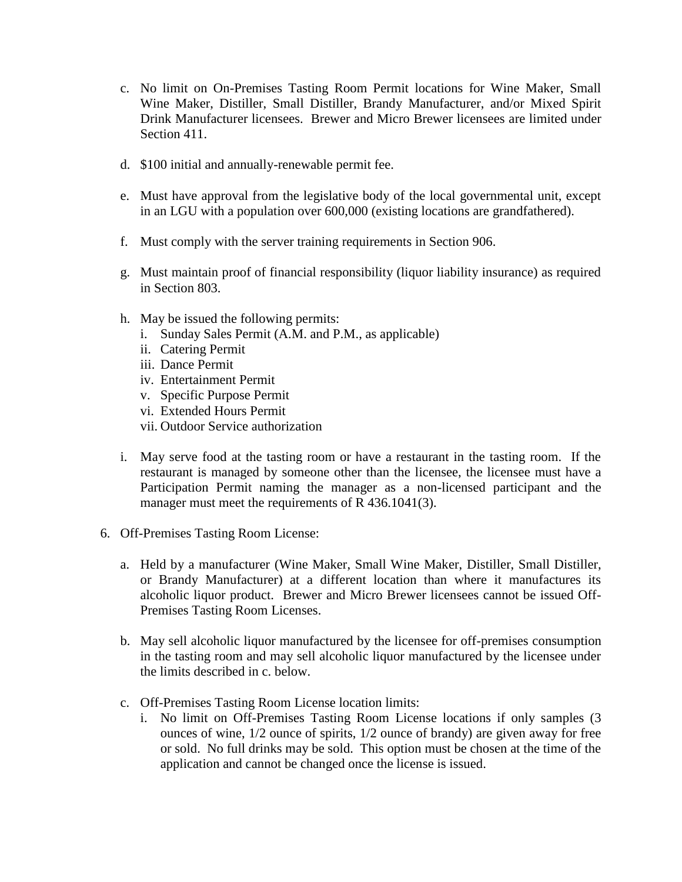- c. No limit on On-Premises Tasting Room Permit locations for Wine Maker, Small Wine Maker, Distiller, Small Distiller, Brandy Manufacturer, and/or Mixed Spirit Drink Manufacturer licensees. Brewer and Micro Brewer licensees are limited under Section 411.
- d. \$100 initial and annually-renewable permit fee.
- e. Must have approval from the legislative body of the local governmental unit, except in an LGU with a population over 600,000 (existing locations are grandfathered).
- f. Must comply with the server training requirements in Section 906.
- g. Must maintain proof of financial responsibility (liquor liability insurance) as required in Section 803.
- h. May be issued the following permits:
	- i. Sunday Sales Permit (A.M. and P.M., as applicable)
	- ii. Catering Permit
	- iii. Dance Permit
	- iv. Entertainment Permit
	- v. Specific Purpose Permit
	- vi. Extended Hours Permit
	- vii. Outdoor Service authorization
- i. May serve food at the tasting room or have a restaurant in the tasting room. If the restaurant is managed by someone other than the licensee, the licensee must have a Participation Permit naming the manager as a non-licensed participant and the manager must meet the requirements of R 436.1041(3).
- 6. Off-Premises Tasting Room License:
	- a. Held by a manufacturer (Wine Maker, Small Wine Maker, Distiller, Small Distiller, or Brandy Manufacturer) at a different location than where it manufactures its alcoholic liquor product. Brewer and Micro Brewer licensees cannot be issued Off-Premises Tasting Room Licenses.
	- b. May sell alcoholic liquor manufactured by the licensee for off-premises consumption in the tasting room and may sell alcoholic liquor manufactured by the licensee under the limits described in c. below.
	- c. Off-Premises Tasting Room License location limits:
		- i. No limit on Off-Premises Tasting Room License locations if only samples (3 ounces of wine, 1/2 ounce of spirits, 1/2 ounce of brandy) are given away for free or sold. No full drinks may be sold. This option must be chosen at the time of the application and cannot be changed once the license is issued.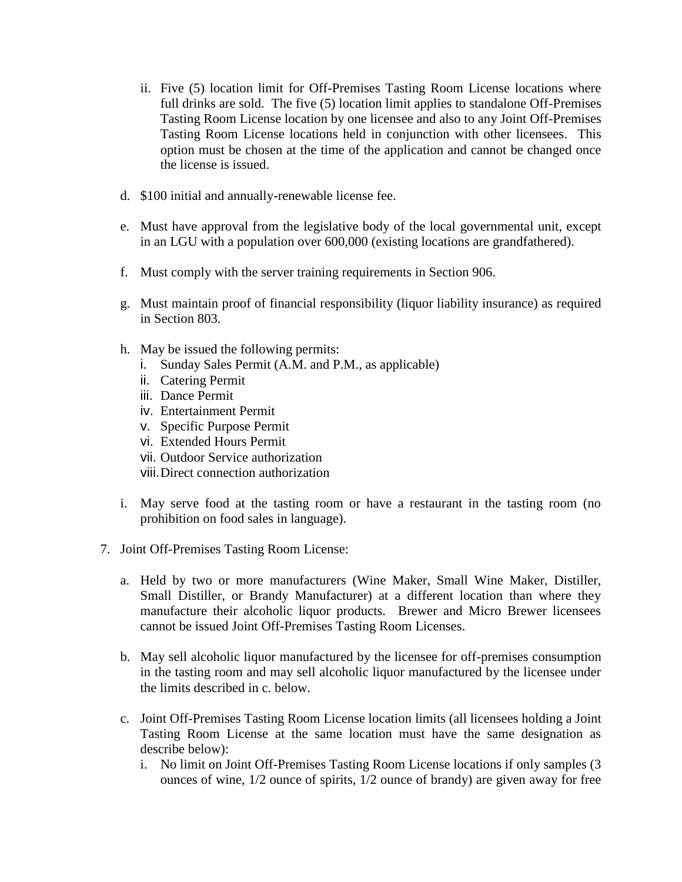- ii. Five (5) location limit for Off-Premises Tasting Room License locations where full drinks are sold. The five (5) location limit applies to standalone Off-Premises Tasting Room License location by one licensee and also to any Joint Off-Premises Tasting Room License locations held in conjunction with other licensees. This option must be chosen at the time of the application and cannot be changed once the license is issued.
- d. \$100 initial and annually-renewable license fee.
- e. Must have approval from the legislative body of the local governmental unit, except in an LGU with a population over 600,000 (existing locations are grandfathered).
- f. Must comply with the server training requirements in Section 906.
- g. Must maintain proof of financial responsibility (liquor liability insurance) as required in Section 803.
- h. May be issued the following permits:
	- i. Sunday Sales Permit (A.M. and P.M., as applicable)
	- ii. Catering Permit
	- iii. Dance Permit
	- iv. Entertainment Permit
	- v. Specific Purpose Permit
	- vi. Extended Hours Permit
	- vii. Outdoor Service authorization
	- viii.Direct connection authorization
- i. May serve food at the tasting room or have a restaurant in the tasting room (no prohibition on food sales in language).
- 7. Joint Off-Premises Tasting Room License:
	- a. Held by two or more manufacturers (Wine Maker, Small Wine Maker, Distiller, Small Distiller, or Brandy Manufacturer) at a different location than where they manufacture their alcoholic liquor products. Brewer and Micro Brewer licensees cannot be issued Joint Off-Premises Tasting Room Licenses.
	- b. May sell alcoholic liquor manufactured by the licensee for off-premises consumption in the tasting room and may sell alcoholic liquor manufactured by the licensee under the limits described in c. below.
	- c. Joint Off-Premises Tasting Room License location limits (all licensees holding a Joint Tasting Room License at the same location must have the same designation as describe below):
		- i. No limit on Joint Off-Premises Tasting Room License locations if only samples (3 ounces of wine, 1/2 ounce of spirits, 1/2 ounce of brandy) are given away for free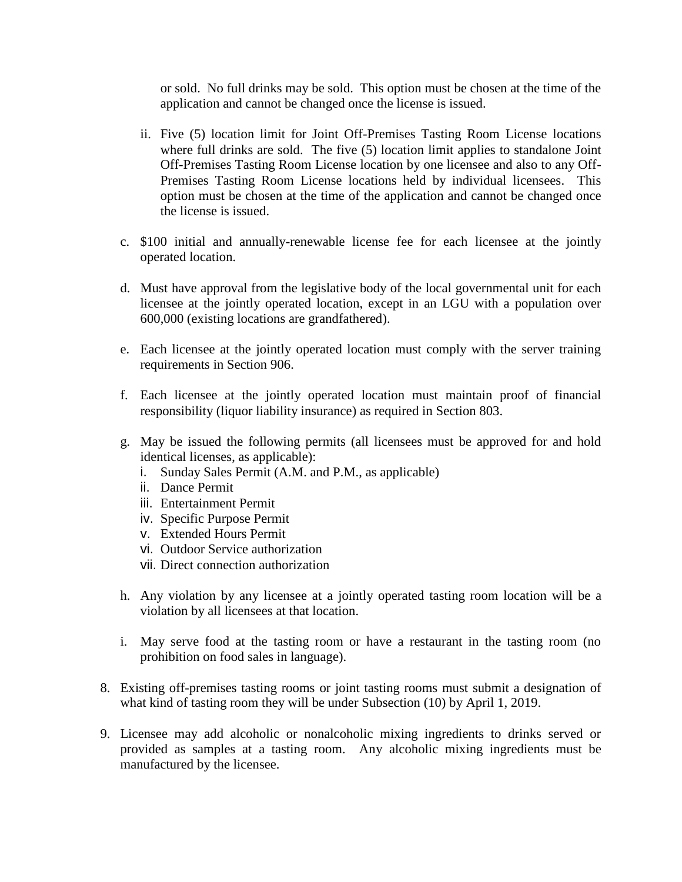or sold. No full drinks may be sold. This option must be chosen at the time of the application and cannot be changed once the license is issued.

- ii. Five (5) location limit for Joint Off-Premises Tasting Room License locations where full drinks are sold. The five (5) location limit applies to standalone Joint Off-Premises Tasting Room License location by one licensee and also to any Off-Premises Tasting Room License locations held by individual licensees. This option must be chosen at the time of the application and cannot be changed once the license is issued.
- c. \$100 initial and annually-renewable license fee for each licensee at the jointly operated location.
- d. Must have approval from the legislative body of the local governmental unit for each licensee at the jointly operated location, except in an LGU with a population over 600,000 (existing locations are grandfathered).
- e. Each licensee at the jointly operated location must comply with the server training requirements in Section 906.
- f. Each licensee at the jointly operated location must maintain proof of financial responsibility (liquor liability insurance) as required in Section 803.
- g. May be issued the following permits (all licensees must be approved for and hold identical licenses, as applicable):
	- i. Sunday Sales Permit (A.M. and P.M., as applicable)
	- ii. Dance Permit
	- iii. Entertainment Permit
	- iv. Specific Purpose Permit
	- v. Extended Hours Permit
	- vi. Outdoor Service authorization
	- vii. Direct connection authorization
- h. Any violation by any licensee at a jointly operated tasting room location will be a violation by all licensees at that location.
- i. May serve food at the tasting room or have a restaurant in the tasting room (no prohibition on food sales in language).
- 8. Existing off-premises tasting rooms or joint tasting rooms must submit a designation of what kind of tasting room they will be under Subsection (10) by April 1, 2019.
- 9. Licensee may add alcoholic or nonalcoholic mixing ingredients to drinks served or provided as samples at a tasting room. Any alcoholic mixing ingredients must be manufactured by the licensee.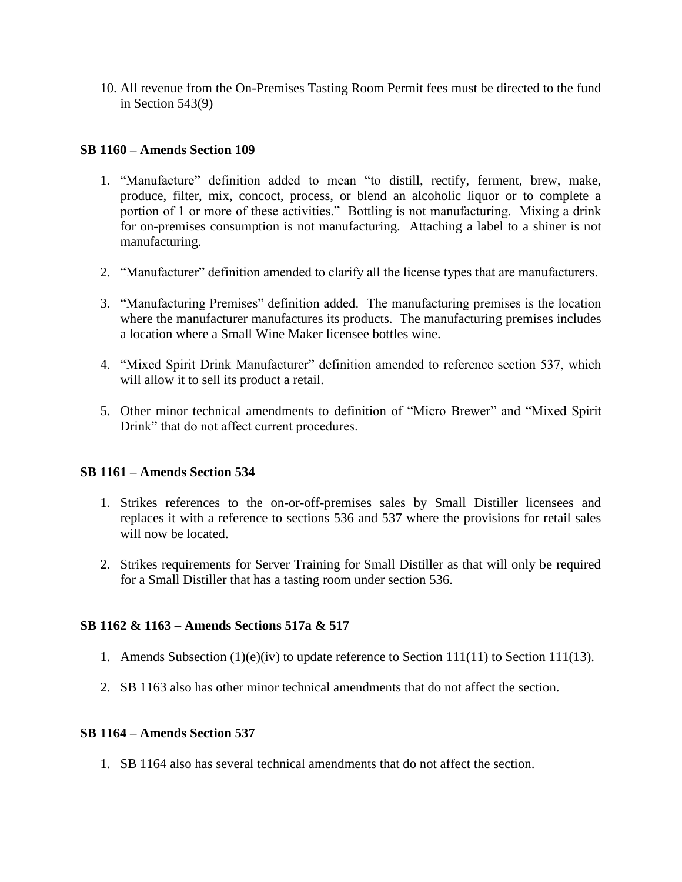10. All revenue from the On-Premises Tasting Room Permit fees must be directed to the fund in Section 543(9)

### **SB 1160 – Amends Section 109**

- 1. "Manufacture" definition added to mean "to distill, rectify, ferment, brew, make, produce, filter, mix, concoct, process, or blend an alcoholic liquor or to complete a portion of 1 or more of these activities." Bottling is not manufacturing. Mixing a drink for on-premises consumption is not manufacturing. Attaching a label to a shiner is not manufacturing.
- 2. "Manufacturer" definition amended to clarify all the license types that are manufacturers.
- 3. "Manufacturing Premises" definition added. The manufacturing premises is the location where the manufacturer manufactures its products. The manufacturing premises includes a location where a Small Wine Maker licensee bottles wine.
- 4. "Mixed Spirit Drink Manufacturer" definition amended to reference section 537, which will allow it to sell its product a retail.
- 5. Other minor technical amendments to definition of "Micro Brewer" and "Mixed Spirit Drink" that do not affect current procedures.

### **SB 1161 – Amends Section 534**

- 1. Strikes references to the on-or-off-premises sales by Small Distiller licensees and replaces it with a reference to sections 536 and 537 where the provisions for retail sales will now be located.
- 2. Strikes requirements for Server Training for Small Distiller as that will only be required for a Small Distiller that has a tasting room under section 536.

### **SB 1162 & 1163 – Amends Sections 517a & 517**

- 1. Amends Subsection (1)(e)(iv) to update reference to Section 111(11) to Section 111(13).
- 2. SB 1163 also has other minor technical amendments that do not affect the section.

### **SB 1164 – Amends Section 537**

1. SB 1164 also has several technical amendments that do not affect the section.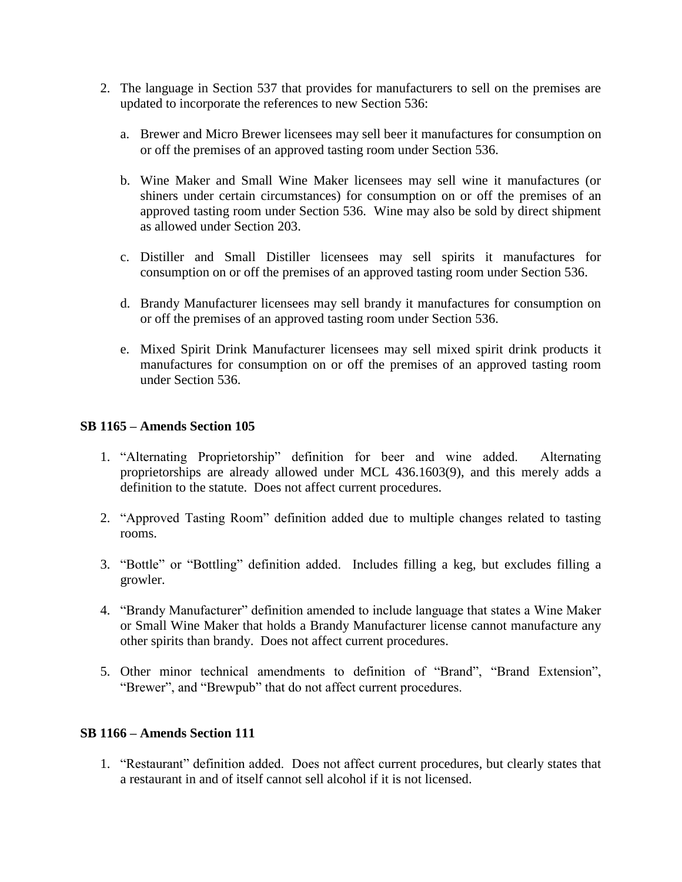- 2. The language in Section 537 that provides for manufacturers to sell on the premises are updated to incorporate the references to new Section 536:
	- a. Brewer and Micro Brewer licensees may sell beer it manufactures for consumption on or off the premises of an approved tasting room under Section 536.
	- b. Wine Maker and Small Wine Maker licensees may sell wine it manufactures (or shiners under certain circumstances) for consumption on or off the premises of an approved tasting room under Section 536. Wine may also be sold by direct shipment as allowed under Section 203.
	- c. Distiller and Small Distiller licensees may sell spirits it manufactures for consumption on or off the premises of an approved tasting room under Section 536.
	- d. Brandy Manufacturer licensees may sell brandy it manufactures for consumption on or off the premises of an approved tasting room under Section 536.
	- e. Mixed Spirit Drink Manufacturer licensees may sell mixed spirit drink products it manufactures for consumption on or off the premises of an approved tasting room under Section 536.

# **SB 1165 – Amends Section 105**

- 1. "Alternating Proprietorship" definition for beer and wine added. Alternating proprietorships are already allowed under MCL 436.1603(9), and this merely adds a definition to the statute. Does not affect current procedures.
- 2. "Approved Tasting Room" definition added due to multiple changes related to tasting rooms.
- 3. "Bottle" or "Bottling" definition added. Includes filling a keg, but excludes filling a growler.
- 4. "Brandy Manufacturer" definition amended to include language that states a Wine Maker or Small Wine Maker that holds a Brandy Manufacturer license cannot manufacture any other spirits than brandy. Does not affect current procedures.
- 5. Other minor technical amendments to definition of "Brand", "Brand Extension", "Brewer", and "Brewpub" that do not affect current procedures.

### **SB 1166 – Amends Section 111**

1. "Restaurant" definition added. Does not affect current procedures, but clearly states that a restaurant in and of itself cannot sell alcohol if it is not licensed.